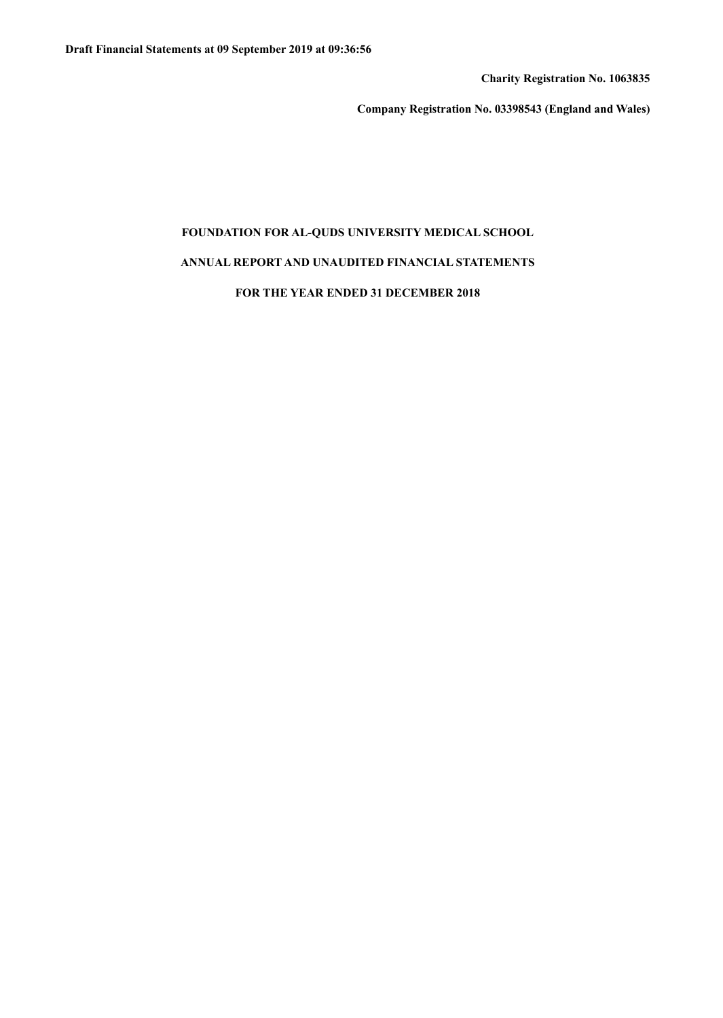**Charity Registration No. 1063835**

**Company Registration No. 03398543 (England and Wales)**

# **FOUNDATION FOR AL-QUDS UNIVERSITY MEDICAL SCHOOL**

# **ANNUAL REPORT AND UNAUDITED FINANCIAL STATEMENTS**

## **FOR THE YEAR ENDED 31 DECEMBER 2018**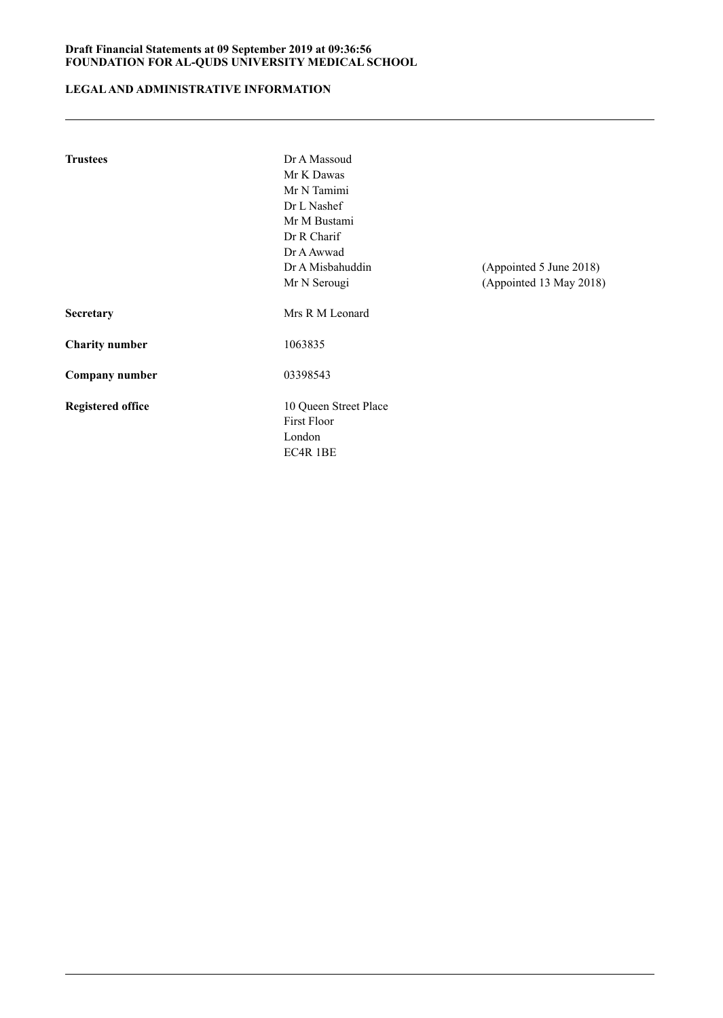# **LEGALAND ADMINISTRATIVE INFORMATION**

| <b>Trustees</b>          | Dr A Massoud<br>Mr K Dawas<br>Mr N Tamimi<br>Dr L Nashef<br>Mr M Bustami |                         |
|--------------------------|--------------------------------------------------------------------------|-------------------------|
|                          | Dr R Charif                                                              |                         |
|                          | Dr A Awwad                                                               |                         |
|                          | Dr A Misbahuddin                                                         | (Appointed 5 June 2018) |
|                          | Mr N Serougi                                                             | (Appointed 13 May 2018) |
| Secretary                | Mrs R M Leonard                                                          |                         |
| <b>Charity number</b>    | 1063835                                                                  |                         |
| Company number           | 03398543                                                                 |                         |
| <b>Registered office</b> | 10 Queen Street Place<br><b>First Floor</b><br>London<br>EC4R 1BE        |                         |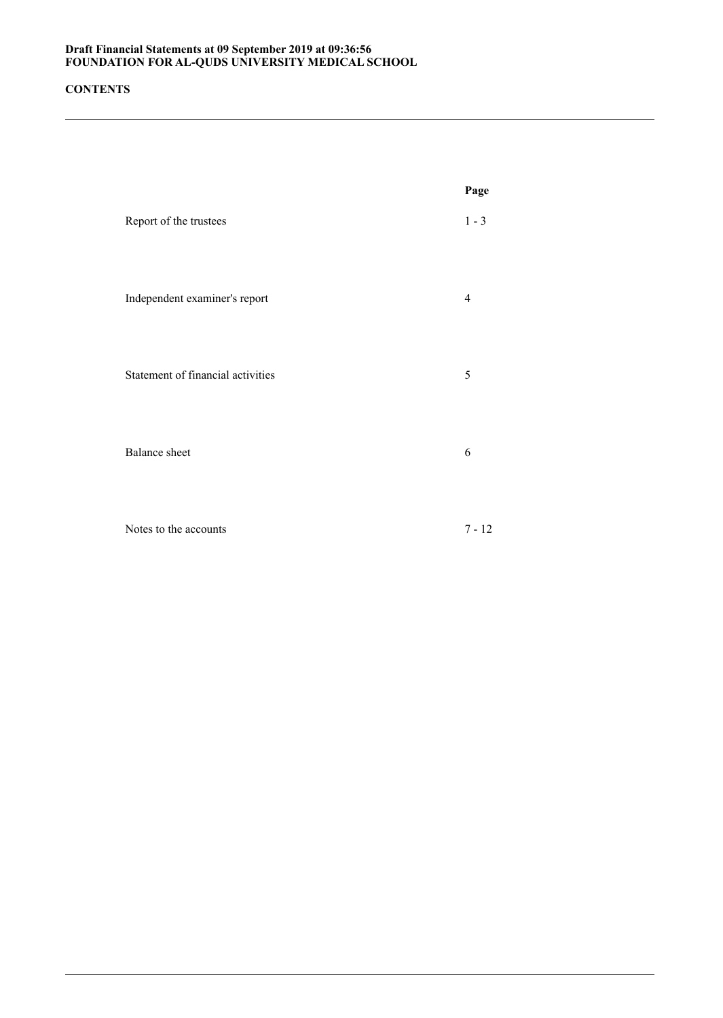## **CONTENTS**

|                                   | Page           |
|-----------------------------------|----------------|
| Report of the trustees            | $1 - 3$        |
| Independent examiner's report     | $\overline{4}$ |
| Statement of financial activities | 5              |
| <b>Balance</b> sheet              | 6              |
| Notes to the accounts             | $7 - 12$       |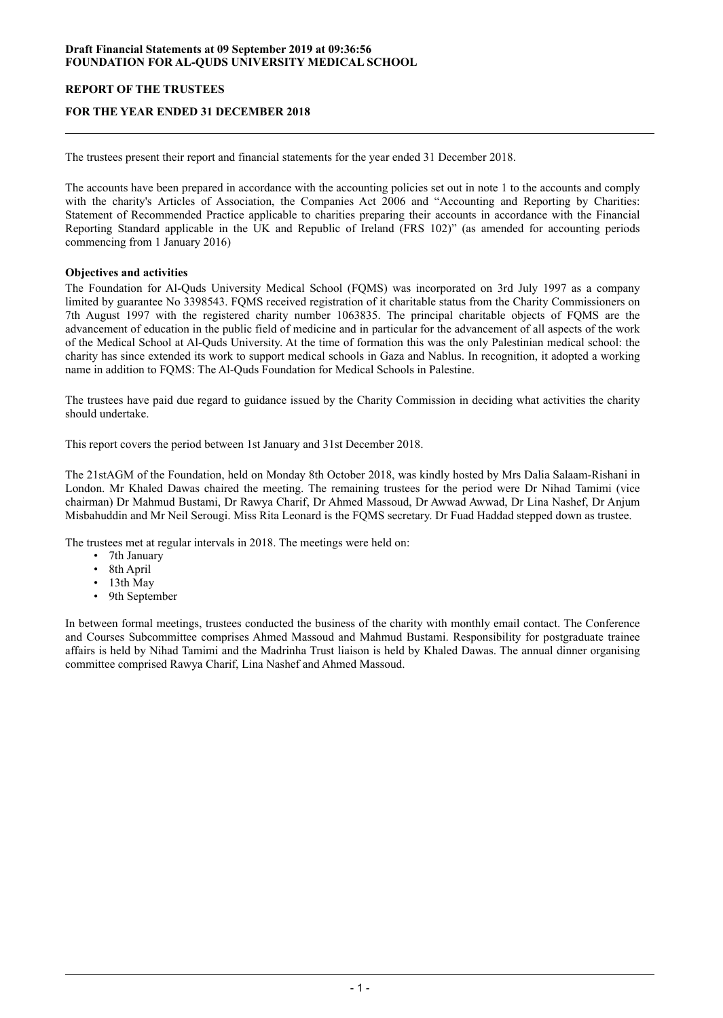## **REPORT OF THE TRUSTEES**

## **FOR THE YEAR ENDED 31 DECEMBER 2018**

The trustees present their report and financial statements for the year ended 31 December 2018.

The accounts have been prepared in accordance with the accounting policies set out in note 1 to the accounts and comply with the charity's Articles of Association, the Companies Act 2006 and "Accounting and Reporting by Charities: Statement of Recommended Practice applicable to charities preparing their accounts in accordance with the Financial Reporting Standard applicable in the UK and Republic of Ireland (FRS 102)" (as amended for accounting periods commencing from 1 January 2016)

## **Objectives and activities**

The Foundation for Al-Quds University Medical School (FQMS) was incorporated on 3rd July 1997 as a company limited by guarantee No 3398543. FQMS received registration of it charitable status from the Charity Commissioners on 7th August 1997 with the registered charity number 1063835. The principal charitable objects of FQMS are the advancement of education in the public field of medicine and in particular for the advancement of all aspects of the work of the Medical School at Al-Quds University. At the time of formation this was the only Palestinian medical school: the charity has since extended its work to support medical schools in Gaza and Nablus. In recognition, it adopted a working name in addition to FQMS: The Al-Quds Foundation for Medical Schools in Palestine.

The trustees have paid due regard to guidance issued by the Charity Commission in deciding what activities the charity should undertake.

This report covers the period between 1st January and 31st December 2018.

The 21stAGM of the Foundation, held on Monday 8th October 2018, was kindly hosted by Mrs Dalia Salaam-Rishani in London. Mr Khaled Dawas chaired the meeting. The remaining trustees for the period were Dr Nihad Tamimi (vice chairman) Dr Mahmud Bustami, Dr Rawya Charif, Dr Ahmed Massoud, Dr Awwad Awwad, Dr Lina Nashef, Dr Anjum Misbahuddin and Mr Neil Serougi. Miss Rita Leonard is the FQMS secretary. Dr Fuad Haddad stepped down as trustee.

The trustees met at regular intervals in 2018. The meetings were held on:

- 7th January
- 8th April
- 13th May<br>• 9th Septer
- 9th September

In between formal meetings, trustees conducted the business of the charity with monthly email contact. The Conference and Courses Subcommittee comprises Ahmed Massoud and Mahmud Bustami. Responsibility for postgraduate trainee affairs is held by Nihad Tamimi and the Madrinha Trust liaison is held by Khaled Dawas. The annual dinner organising committee comprised Rawya Charif, Lina Nashef and Ahmed Massoud.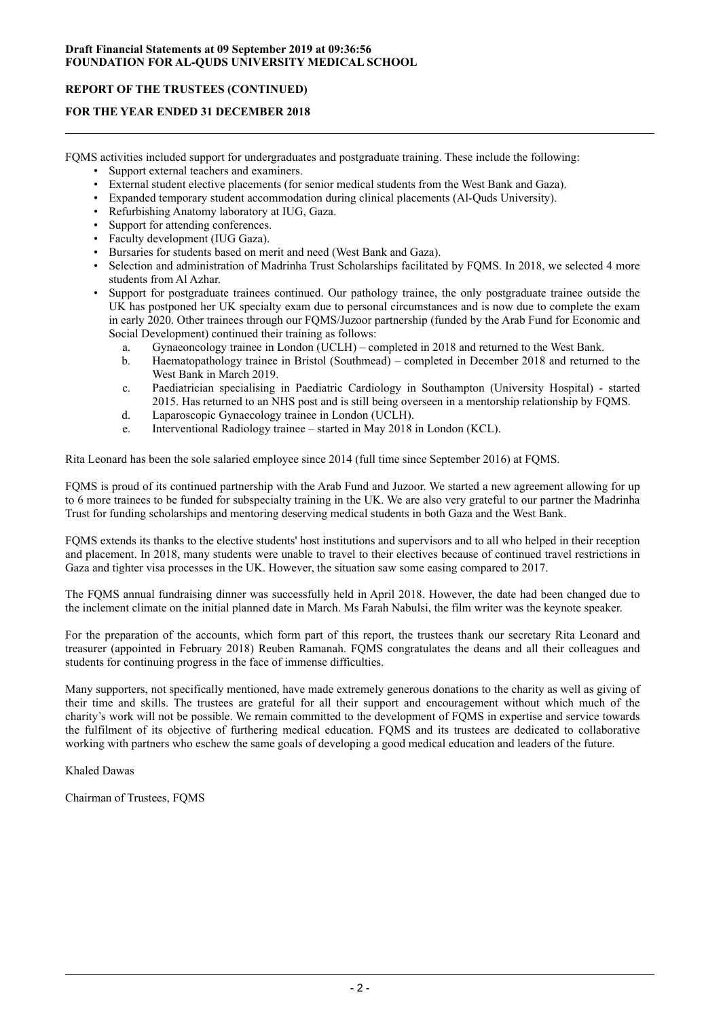## **REPORT OF THE TRUSTEES (CONTINUED)**

## **FOR THE YEAR ENDED 31 DECEMBER 2018**

FQMS activities included support for undergraduates and postgraduate training. These include the following:

- Support external teachers and examiners.
- External student elective placements (for senior medical students from the West Bank and Gaza).
- Expanded temporary student accommodation during clinical placements (Al-Quds University).
- Refurbishing Anatomy laboratory at IUG, Gaza.
- Support for attending conferences.
- Faculty development (IUG Gaza).
- Bursaries for students based on merit and need (West Bank and Gaza).
- Selection and administration of Madrinha Trust Scholarships facilitated by FQMS. In 2018, we selected 4 more students from Al Azhar.
- Support for postgraduate trainees continued. Our pathology trainee, the only postgraduate trainee outside the UK has postponed her UK specialty exam due to personal circumstances and is now due to complete the exam in early 2020. Other trainees through our FQMS/Juzoor partnership (funded by the Arab Fund for Economic and Social Development) continued their training as follows:
	- a. Gynaeoncology trainee in London (UCLH) completed in 2018 and returned to the West Bank.
	- b. Haematopathology trainee in Bristol (Southmead) completed in December 2018 and returned to the West Bank in March 2019.
	- c. Paediatrician specialising in Paediatric Cardiology in Southampton (University Hospital) started 2015. Has returned to an NHS post and is still being overseen in a mentorship relationship by FQMS.
	- d. Laparoscopic Gynaecology trainee in London (UCLH).
	- e. Interventional Radiology trainee started in May 2018 in London (KCL).

Rita Leonard has been the sole salaried employee since 2014 (full time since September 2016) at FQMS.

FQMS is proud of its continued partnership with the Arab Fund and Juzoor. We started a new agreement allowing for up to 6 more trainees to be funded for subspecialty training in the UK. We are also very grateful to our partner the Madrinha Trust for funding scholarships and mentoring deserving medical students in both Gaza and the West Bank.

FQMS extends its thanks to the elective students' host institutions and supervisors and to all who helped in their reception and placement. In 2018, many students were unable to travel to their electives because of continued travel restrictions in Gaza and tighter visa processes in the UK. However, the situation saw some easing compared to 2017.

The FQMS annual fundraising dinner was successfully held in April 2018. However, the date had been changed due to the inclement climate on the initial planned date in March. Ms Farah Nabulsi, the film writer was the keynote speaker.

For the preparation of the accounts, which form part of this report, the trustees thank our secretary Rita Leonard and treasurer (appointed in February 2018) Reuben Ramanah. FQMS congratulates the deans and all their colleagues and students for continuing progress in the face of immense difficulties.

Many supporters, not specifically mentioned, have made extremely generous donations to the charity as well as giving of their time and skills. The trustees are grateful for all their support and encouragement without which much of the charity's work will not be possible. We remain committed to the development of FQMS in expertise and service towards the fulfilment of its objective of furthering medical education. FQMS and its trustees are dedicated to collaborative working with partners who eschew the same goals of developing a good medical education and leaders of the future.

Khaled Dawas

Chairman of Trustees, FQMS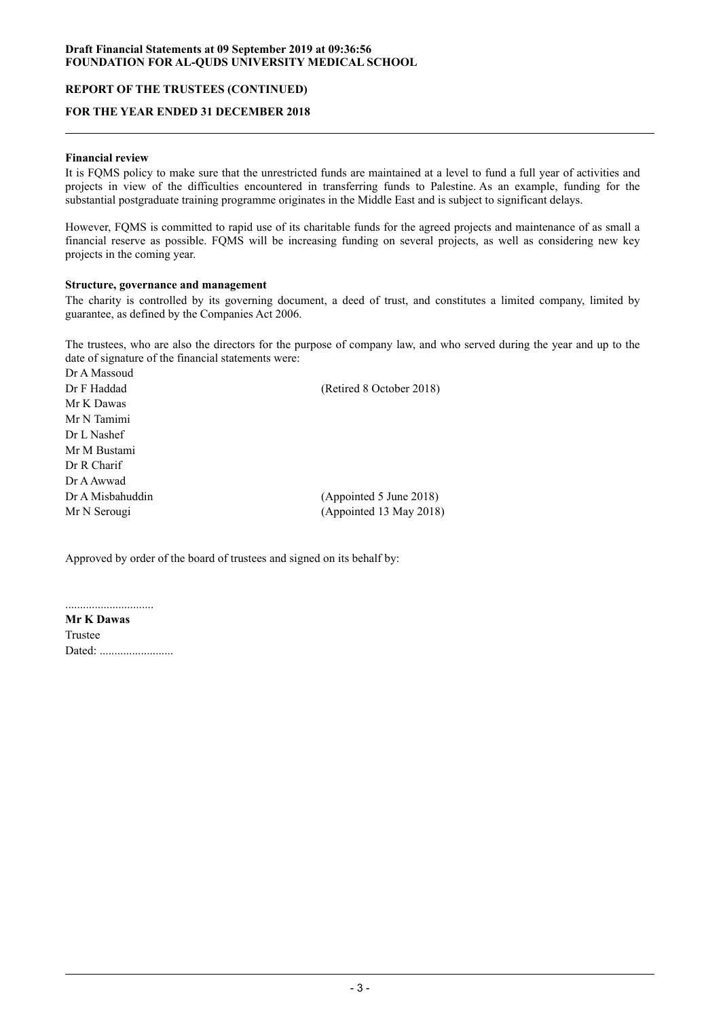## **REPORT OF THE TRUSTEES (CONTINUED)**

## **FOR THE YEAR ENDED 31 DECEMBER 2018**

## **Financial review**

It is FQMS policy to make sure that the unrestricted funds are maintained at a level to fund a full year of activities and projects in view of the difficulties encountered in transferring funds to Palestine. As an example, funding for the substantial postgraduate training programme originates in the Middle East and is subject to significant delays.

However, FQMS is committed to rapid use of its charitable funds for the agreed projects and maintenance of as small a financial reserve as possible. FQMS will be increasing funding on several projects, as well as considering new key projects in the coming year.

#### **Structure, governance and management**

The charity is controlled by its governing document, a deed of trust, and constitutes a limited company, limited by guarantee, as defined by the Companies Act 2006.

The trustees, who are also the directors for the purpose of company law, and who served during the year and up to the date of signature of the financial statements were:

Dr A Massoud Dr F Haddad (Retired 8 October 2018) Mr K Dawas Mr N Tamimi Dr L Nashef Mr M Bustami Dr R Charif Dr AAwwad Dr A Misbahuddin (Appointed 5 June 2018) Mr N Serougi (Appointed 13 May 2018)

Approved by order of the board of trustees and signed on its behalf by:

..............................

**Mr K Dawas** Trustee Dated: ............................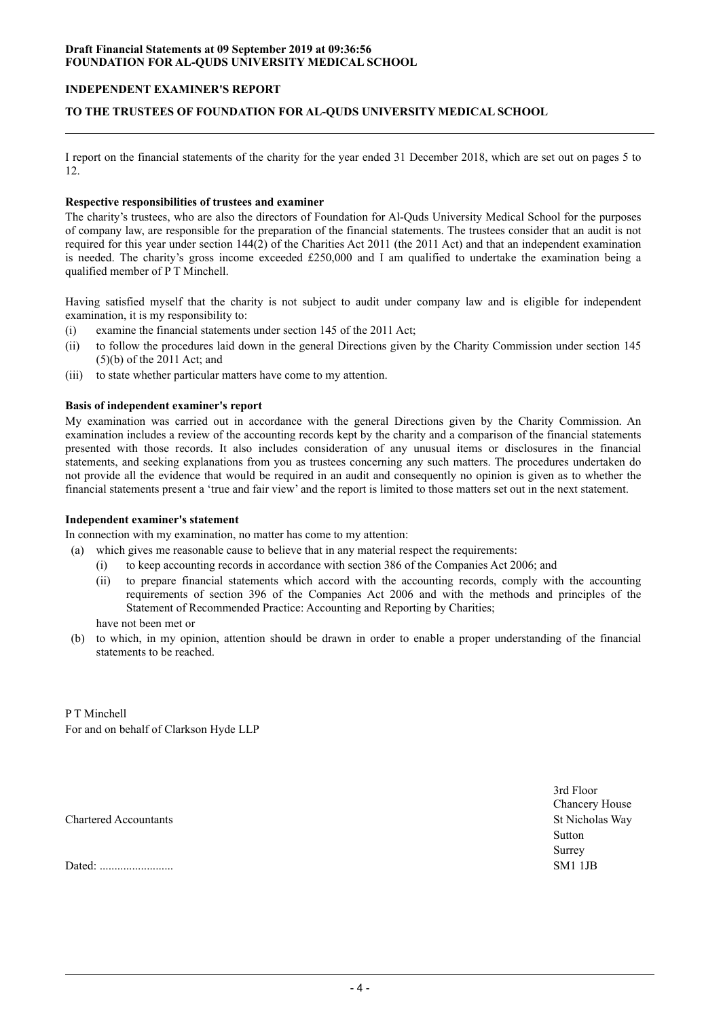## **INDEPENDENT EXAMINER'S REPORT**

## **TO THE TRUSTEES OF FOUNDATION FOR AL-QUDS UNIVERSITY MEDICAL SCHOOL**

I report on the financial statements of the charity for the year ended 31 December 2018, which are set out on pages 5 to 12.

#### **Respective responsibilities of trustees and examiner**

The charity's trustees, who are also the directors of Foundation for Al-Quds University Medical School for the purposes of company law, are responsible for the preparation of the financial statements. The trustees consider that an audit is not required for this year under section 144(2) of the Charities Act 2011 (the 2011 Act) and that an independent examination is needed. The charity's gross income exceeded £250,000 and I am qualified to undertake the examination being a qualified member of P T Minchell.

Having satisfied myself that the charity is not subject to audit under company law and is eligible for independent examination, it is my responsibility to:

- (i) examine the financial statements under section 145 of the 2011 Act;
- (ii) to follow the procedures laid down in the general Directions given by the Charity Commission under section 145 (5)(b) of the 2011 Act; and
- (iii) to state whether particular matters have come to my attention.

## **Basis of independent examiner's report**

My examination was carried out in accordance with the general Directions given by the Charity Commission. An examination includes a review of the accounting records kept by the charity and a comparison of the financial statements presented with those records. It also includes consideration of any unusual items or disclosures in the financial statements, and seeking explanations from you as trustees concerning any such matters. The procedures undertaken do not provide all the evidence that would be required in an audit and consequently no opinion is given as to whether the financial statements present a 'true and fair view' and the report is limited to those matters set out in the next statement.

#### **Independent examiner's statement**

In connection with my examination, no matter has come to my attention:

- (a) which gives me reasonable cause to believe that in any material respect the requirements:
	- (i) to keep accounting records in accordance with section 386 of the Companies Act 2006; and
	- (ii) to prepare financial statements which accord with the accounting records, comply with the accounting requirements of section 396 of the Companies Act 2006 and with the methods and principles of the Statement of Recommended Practice: Accounting and Reporting by Charities;

have not been met or

(b) to which, in my opinion, attention should be drawn in order to enable a proper understanding of the financial statements to be reached.

P T Minchell For and on behalf of Clarkson Hyde LLP

Chartered Accountants St Nicholas Way

Dated: ......................... SM1 1JB

3rd Floor Chancery House Sutton Surrey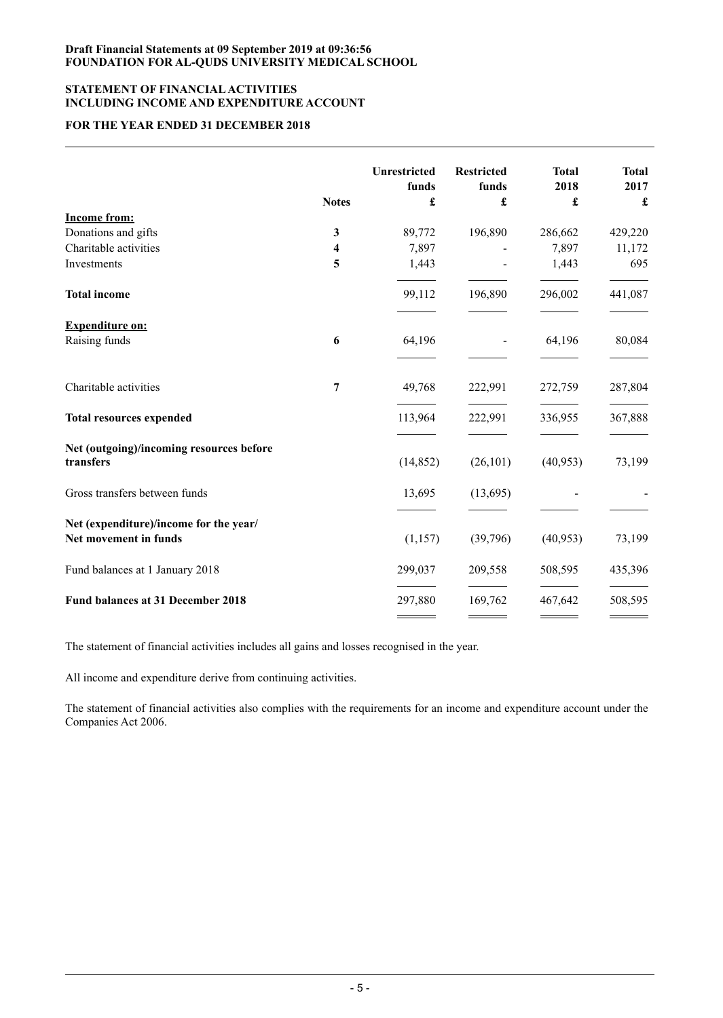## **STATEMENT OF FINANCIALACTIVITIES INCLUDING INCOME AND EXPENDITURE ACCOUNT**

# **FOR THE YEAR ENDED 31 DECEMBER 2018**

|                                                       |              | <b>Unrestricted</b><br>funds | <b>Restricted</b><br>funds | <b>Total</b><br>2018 | <b>Total</b><br>2017 |
|-------------------------------------------------------|--------------|------------------------------|----------------------------|----------------------|----------------------|
|                                                       | <b>Notes</b> | £                            | £                          | £                    | £                    |
| <b>Income from:</b>                                   |              |                              |                            |                      |                      |
| Donations and gifts                                   | $\mathbf{3}$ | 89,772                       | 196,890                    | 286,662              | 429,220              |
| Charitable activities                                 | 4            | 7,897                        |                            | 7,897                | 11,172               |
| Investments                                           | 5            | 1,443                        |                            | 1,443                | 695                  |
| <b>Total income</b>                                   |              | 99,112                       | 196,890                    | 296,002              | 441,087              |
| <b>Expenditure on:</b>                                |              |                              |                            |                      |                      |
| Raising funds                                         | 6            | 64,196                       |                            | 64,196               | 80,084               |
| Charitable activities                                 | 7            | 49,768                       | 222,991                    | 272,759              | 287,804              |
| <b>Total resources expended</b>                       |              | 113,964                      | 222,991                    | 336,955              | 367,888              |
| Net (outgoing)/incoming resources before<br>transfers |              | (14, 852)                    | (26, 101)                  | (40, 953)            | 73,199               |
| Gross transfers between funds                         |              | 13,695                       | (13,695)                   |                      |                      |
| Net (expenditure)/income for the year/                |              |                              |                            |                      |                      |
| Net movement in funds                                 |              | (1, 157)                     | (39,796)                   | (40, 953)            | 73,199               |
| Fund balances at 1 January 2018                       |              | 299,037                      | 209,558                    | 508,595              | 435,396              |
| Fund balances at 31 December 2018                     |              | 297,880                      | 169,762                    | 467,642              | 508,595              |
|                                                       |              |                              |                            |                      |                      |

The statement of financial activities includes all gains and losses recognised in the year.

All income and expenditure derive from continuing activities.

The statement of financial activities also complies with the requirements for an income and expenditure account under the Companies Act 2006.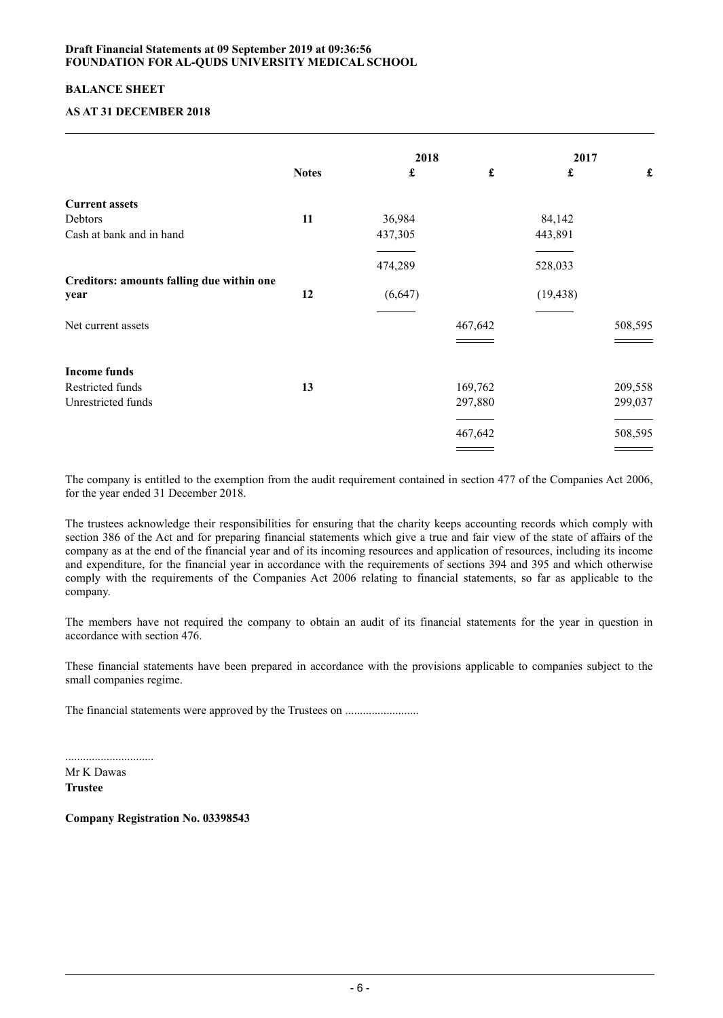## **BALANCE SHEET**

## **AS AT 31 DECEMBER 2018**

|                                           |              | 2018    |         | 2017                 |         |
|-------------------------------------------|--------------|---------|---------|----------------------|---------|
|                                           | <b>Notes</b> | £       | £       | $\pmb{\mathfrak{L}}$ |         |
| <b>Current assets</b>                     |              |         |         |                      |         |
| Debtors                                   | 11           | 36,984  |         | 84,142               |         |
| Cash at bank and in hand                  |              | 437,305 |         | 443,891              |         |
|                                           |              | 474,289 |         | 528,033              |         |
| Creditors: amounts falling due within one |              |         |         |                      |         |
| year                                      | 12           | (6,647) |         | (19, 438)            |         |
| Net current assets                        |              |         | 467,642 |                      | 508,595 |
|                                           |              |         |         |                      |         |
| <b>Income funds</b>                       |              |         |         |                      |         |
| Restricted funds                          | 13           |         | 169,762 |                      | 209,558 |
| Unrestricted funds                        |              |         | 297,880 |                      | 299,037 |
|                                           |              |         |         |                      |         |
|                                           |              |         | 467,642 |                      | 508,595 |
|                                           |              |         |         |                      |         |

The company is entitled to the exemption from the audit requirement contained in section 477 of the Companies Act 2006, for the year ended 31 December 2018.

The trustees acknowledge their responsibilities for ensuring that the charity keeps accounting records which comply with section 386 of the Act and for preparing financial statements which give a true and fair view of the state of affairs of the company as at the end of the financial year and of its incoming resources and application of resources, including its income and expenditure, for the financial year in accordance with the requirements of sections 394 and 395 and which otherwise comply with the requirements of the Companies Act 2006 relating to financial statements, so far as applicable to the company.

The members have not required the company to obtain an audit of its financial statements for the year in question in accordance with section 476.

These financial statements have been prepared in accordance with the provisions applicable to companies subject to the small companies regime.

The financial statements were approved by the Trustees on .........................

Mr K Dawas **Trustee**

..............................

**Company Registration No. 03398543**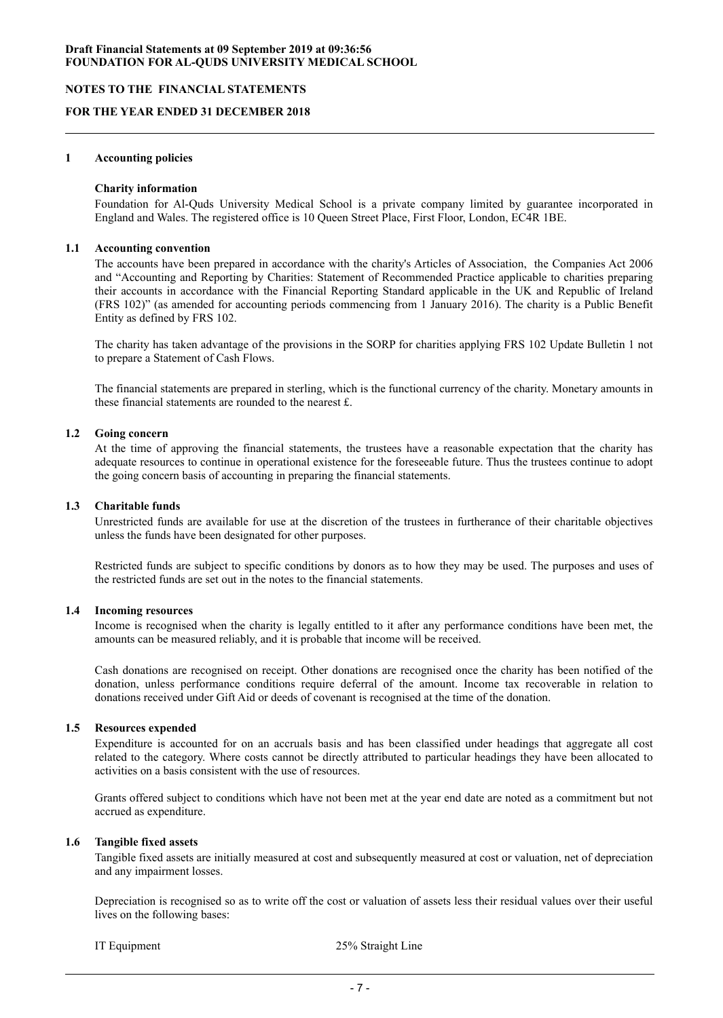## **NOTES TO THE FINANCIAL STATEMENTS**

#### **FOR THE YEAR ENDED 31 DECEMBER 2018**

#### **1 Accounting policies**

#### **Charity information**

Foundation for Al-Quds University Medical School is a private company limited by guarantee incorporated in England and Wales. The registered office is 10 Queen Street Place, First Floor, London, EC4R 1BE.

#### **1.1 Accounting convention**

The accounts have been prepared in accordance with the charity's Articles of Association, the Companies Act 2006 and "Accounting and Reporting by Charities: Statement of Recommended Practice applicable to charities preparing their accounts in accordance with the Financial Reporting Standard applicable in the UK and Republic of Ireland (FRS 102)" (as amended for accounting periods commencing from 1 January 2016). The charity is a Public Benefit Entity as defined by FRS 102.

The charity has taken advantage of the provisions in the SORP for charities applying FRS 102 Update Bulletin 1 not to prepare a Statement of Cash Flows.

The financial statements are prepared in sterling, which is the functional currency of the charity. Monetary amounts in these financial statements are rounded to the nearest £.

#### **1.2 Going concern**

At the time of approving the financial statements, the trustees have a reasonable expectation that the charity has adequate resources to continue in operational existence for the foreseeable future. Thus the trustees continue to adopt the going concern basis of accounting in preparing the financial statements.

#### **1.3 Charitable funds**

Unrestricted funds are available for use at the discretion of the trustees in furtherance of their charitable objectives unless the funds have been designated for other purposes.

Restricted funds are subject to specific conditions by donors as to how they may be used. The purposes and uses of the restricted funds are set out in the notes to the financial statements.

#### **1.4 Incoming resources**

Income is recognised when the charity is legally entitled to it after any performance conditions have been met, the amounts can be measured reliably, and it is probable that income will be received.

Cash donations are recognised on receipt. Other donations are recognised once the charity has been notified of the donation, unless performance conditions require deferral of the amount. Income tax recoverable in relation to donations received under Gift Aid or deeds of covenant is recognised at the time of the donation.

## **1.5 Resources expended**

Expenditure is accounted for on an accruals basis and has been classified under headings that aggregate all cost related to the category. Where costs cannot be directly attributed to particular headings they have been allocated to activities on a basis consistent with the use of resources.

Grants offered subject to conditions which have not been met at the year end date are noted as a commitment but not accrued as expenditure.

## **1.6 Tangible fixed assets**

Tangible fixed assets are initially measured at cost and subsequently measured at cost or valuation, net of depreciation and any impairment losses.

Depreciation is recognised so as to write off the cost or valuation of assets less their residual values over their useful lives on the following bases:

IT Equipment 25% Straight Line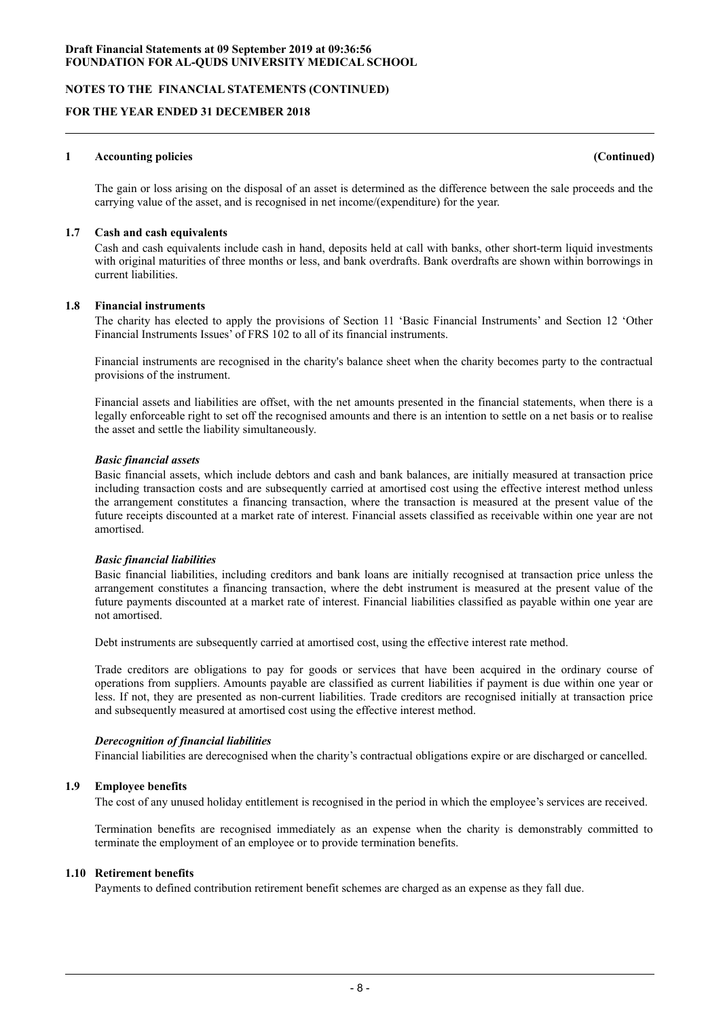**NOTES TO THE FINANCIAL STATEMENTS (CONTINUED)**

## **FOR THE YEAR ENDED 31 DECEMBER 2018**

#### **1 Accounting policies (Continued)**

The gain or loss arising on the disposal of an asset is determined as the difference between the sale proceeds and the carrying value of the asset, and is recognised in net income/(expenditure) for the year.

#### **1.7 Cash and cash equivalents**

Cash and cash equivalents include cash in hand, deposits held at call with banks, other short-term liquid investments with original maturities of three months or less, and bank overdrafts. Bank overdrafts are shown within borrowings in current liabilities.

#### **1.8 Financial instruments**

The charity has elected to apply the provisions of Section 11 'Basic Financial Instruments' and Section 12 'Other Financial Instruments Issues' of FRS 102 to all of its financial instruments.

Financial instruments are recognised in the charity's balance sheet when the charity becomes party to the contractual provisions of the instrument.

Financial assets and liabilities are offset, with the net amounts presented in the financial statements, when there is a legally enforceable right to set off the recognised amounts and there is an intention to settle on a net basis or to realise the asset and settle the liability simultaneously.

#### *Basic financial assets*

Basic financial assets, which include debtors and cash and bank balances, are initially measured at transaction price including transaction costs and are subsequently carried at amortised cost using the effective interest method unless the arrangement constitutes a financing transaction, where the transaction is measured at the present value of the future receipts discounted at a market rate of interest. Financial assets classified as receivable within one year are not amortised.

## *Basic financial liabilities*

Basic financial liabilities, including creditors and bank loans are initially recognised at transaction price unless the arrangement constitutes a financing transaction, where the debt instrument is measured at the present value of the future payments discounted at a market rate of interest. Financial liabilities classified as payable within one year are not amortised.

Debt instruments are subsequently carried at amortised cost, using the effective interest rate method.

Trade creditors are obligations to pay for goods or services that have been acquired in the ordinary course of operations from suppliers. Amounts payable are classified as current liabilities if payment is due within one year or less. If not, they are presented as non-current liabilities. Trade creditors are recognised initially at transaction price and subsequently measured at amortised cost using the effective interest method.

## *Derecognition of financial liabilities*

Financial liabilities are derecognised when the charity's contractual obligations expire or are discharged or cancelled.

## **1.9 Employee benefits**

The cost of any unused holiday entitlement is recognised in the period in which the employee's services are received.

Termination benefits are recognised immediately as an expense when the charity is demonstrably committed to terminate the employment of an employee or to provide termination benefits.

## **1.10 Retirement benefits**

Payments to defined contribution retirement benefit schemes are charged as an expense as they fall due.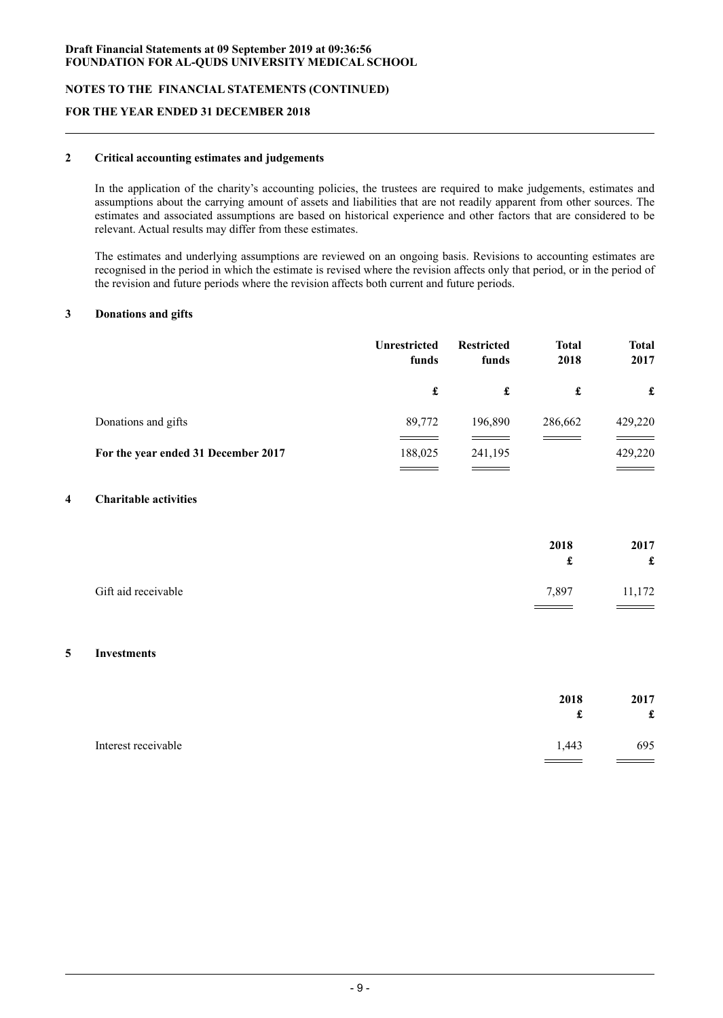**NOTES TO THE FINANCIAL STATEMENTS (CONTINUED)**

## **FOR THE YEAR ENDED 31 DECEMBER 2018**

## **2 Critical accounting estimates and judgements**

In the application of the charity's accounting policies, the trustees are required to make judgements, estimates and assumptions about the carrying amount of assets and liabilities that are not readily apparent from other sources. The estimates and associated assumptions are based on historical experience and other factors that are considered to be relevant. Actual results may differ from these estimates.

The estimates and underlying assumptions are reviewed on an ongoing basis. Revisions to accounting estimates are recognised in the period in which the estimate is revised where the revision affects only that period, or in the period of the revision and future periods where the revision affects both current and future periods.

#### **3 Donations and gifts**

|                                     | <b>Unrestricted</b><br>funds | <b>Restricted</b><br>funds | <b>Total</b><br>2018 | <b>Total</b><br>2017 |
|-------------------------------------|------------------------------|----------------------------|----------------------|----------------------|
|                                     | £                            | £                          | £                    | £                    |
| Donations and gifts                 | 89,772                       | 196,890                    | 286,662              | 429,220              |
| For the year ended 31 December 2017 | 188,025                      | 241,195                    |                      | 429,220              |

## **4 Charitable activities**

|                     | 2018<br>a., | 2017<br>£ |
|---------------------|-------------|-----------|
| Gift aid receivable | 7,897       | 11,172    |

#### **5 Investments**

| 2018                         | 2017 |
|------------------------------|------|
| t                            | £    |
| Interest receivable<br>1,443 | 695  |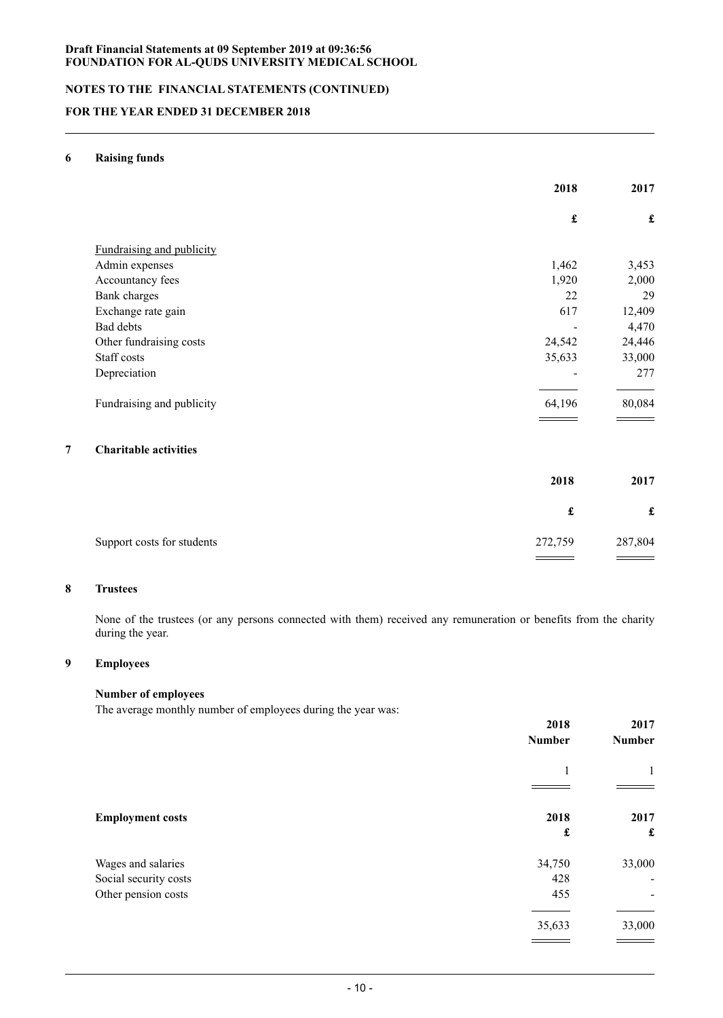# **NOTES TO THE FINANCIAL STATEMENTS (CONTINUED)**

# **FOR THE YEAR ENDED 31 DECEMBER 2018**

## **6 Raising funds**

| £                        |                    |
|--------------------------|--------------------|
| 1,462<br>1,920           | $\pmb{\mathbf{f}}$ |
|                          |                    |
|                          | 3,453              |
|                          | 2,000              |
| 22                       | 29                 |
| 617                      | 12,409             |
| $\overline{\phantom{a}}$ | 4,470              |
| 24,542                   | 24,446             |
| 35,633                   | 33,000             |
| $\overline{\phantom{0}}$ | 277                |
| 64,196                   | 80,084             |
|                          |                    |

|                            | 2018    | 2017    |
|----------------------------|---------|---------|
|                            | £       | £       |
| Support costs for students | 272,759 | 287,804 |

# **8 Trustees**

None of the trustees (or any persons connected with them) received any remuneration or benefits from the charity during the year.

# **9 Employees**

## **Number of employees**

The average monthly number of employees during the year was:

|                         | 2018<br><b>Number</b> | 2017<br><b>Number</b>        |
|-------------------------|-----------------------|------------------------------|
|                         | 1                     | 1                            |
| <b>Employment costs</b> | 2018<br>£             | 2017<br>£                    |
| Wages and salaries      | 34,750                | 33,000                       |
| Social security costs   | 428                   | $\overline{\phantom{0}}$     |
| Other pension costs     | 455                   | $\qquad \qquad \blacksquare$ |
|                         | 35,633                | 33,000                       |
|                         |                       |                              |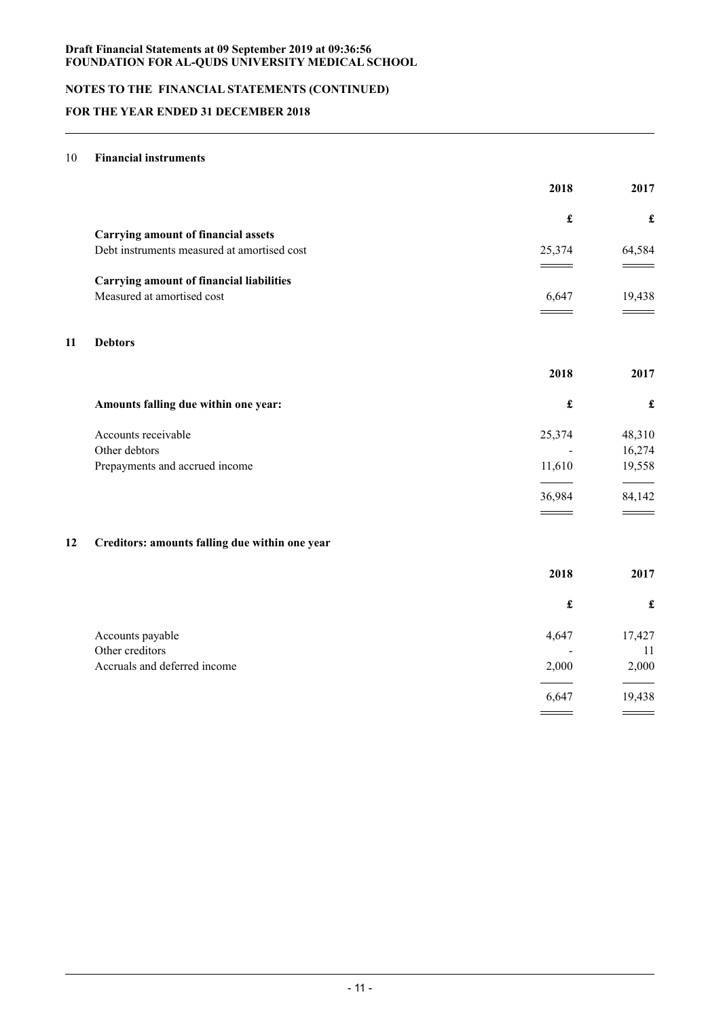# **NOTES TO THE FINANCIAL STATEMENTS (CONTINUED)**

# **FOR THE YEAR ENDED 31 DECEMBER 2018**

## 10 **Financial instruments**

|    |                                                 | 2018                 | 2017                 |
|----|-------------------------------------------------|----------------------|----------------------|
|    |                                                 | $\pmb{\mathfrak{L}}$ | $\pmb{\mathfrak{L}}$ |
|    | <b>Carrying amount of financial assets</b>      |                      |                      |
|    | Debt instruments measured at amortised cost     | 25,374               | 64,584               |
|    | <b>Carrying amount of financial liabilities</b> |                      |                      |
|    | Measured at amortised cost                      | 6,647                | 19,438               |
|    |                                                 |                      |                      |
| 11 | <b>Debtors</b>                                  |                      |                      |
|    |                                                 | 2018                 | 2017                 |
|    | Amounts falling due within one year:            | $\pmb{\mathfrak{L}}$ | $\pmb{\mathbf{f}}$   |
|    | Accounts receivable                             | 25,374               | 48,310               |
|    | Other debtors                                   |                      | 16,274               |
|    | Prepayments and accrued income                  | 11,610               | 19,558               |
|    |                                                 | 36,984               | 84,142               |
|    |                                                 |                      |                      |
| 12 | Creditors: amounts falling due within one year  |                      |                      |
|    |                                                 | 2018                 | 2017                 |
|    |                                                 | £                    | $\pmb{\mathfrak{L}}$ |
|    | Accounts payable                                | 4,647                | 17,427               |
|    | Other creditors                                 |                      | 11                   |
|    | Accruals and deferred income                    | 2,000                | 2,000                |
|    |                                                 | 6,647                | 19,438               |